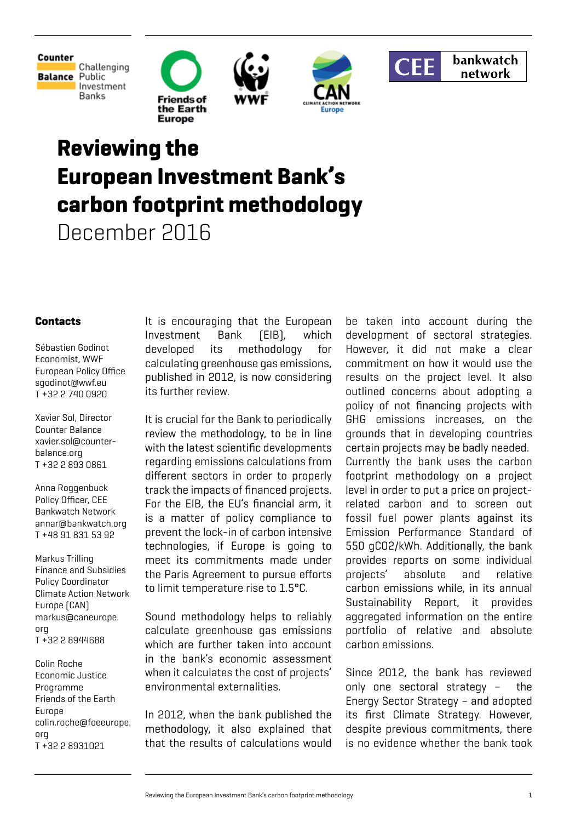

Challenging **Balance Public** Investment Banks









# **Reviewing the European Investment Bank's carbon footprint methodology**

December 2016

### **Contacts**

Sébastien Godinot Economist, WWF European Policy Office sgodinot@wwf.eu T +32 2 740 0920

Xavier Sol, Director Counter Balance xavier.sol@counterbalance.org T +32 2 893 0861

Anna Roggenbuck Policy Officer, CEE Bankwatch Network annar@bankwatch.org T +48 91 831 53 92

Markus Trilling Finance and Subsidies Policy Coordinator Climate Action Network Europe (CAN) markus@caneurope. org T +32 2 8944688

Colin Roche Economic Justice Programme Friends of the Earth Europe colin.roche@foeeurope. org T +32 2 8931021

It is encouraging that the European Investment Bank (EIB), which developed its methodology for calculating greenhouse gas emissions, published in 2012, is now considering its further review.

It is crucial for the Bank to periodically review the methodology, to be in line with the latest scientific developments regarding emissions calculations from different sectors in order to properly track the impacts of financed projects. For the EIB, the EU's financial arm, it is a matter of policy compliance to prevent the lock-in of carbon intensive technologies, if Europe is going to meet its commitments made under the Paris Agreement to pursue efforts to limit temperature rise to 1.5°C.

Sound methodology helps to reliably calculate greenhouse gas emissions which are further taken into account in the bank's economic assessment when it calculates the cost of projects' environmental externalities.

In 2012, when the bank published the methodology, it also explained that that the results of calculations would be taken into account during the development of sectoral strategies. However, it did not make a clear commitment on how it would use the results on the project level. It also outlined concerns about adopting a policy of not financing projects with GHG emissions increases, on the grounds that in developing countries certain projects may be badly needed. Currently the bank uses the carbon footprint methodology on a project level in order to put a price on projectrelated carbon and to screen out fossil fuel power plants against its Emission Performance Standard of 550 gCO2/kWh. Additionally, the bank provides reports on some individual projects' absolute and relative carbon emissions while, in its annual Sustainability Report, it provides aggregated information on the entire portfolio of relative and absolute carbon emissions.

Since 2012, the bank has reviewed only one sectoral strategy – the Energy Sector Strategy – and adopted its first Climate Strategy. However, despite previous commitments, there is no evidence whether the bank took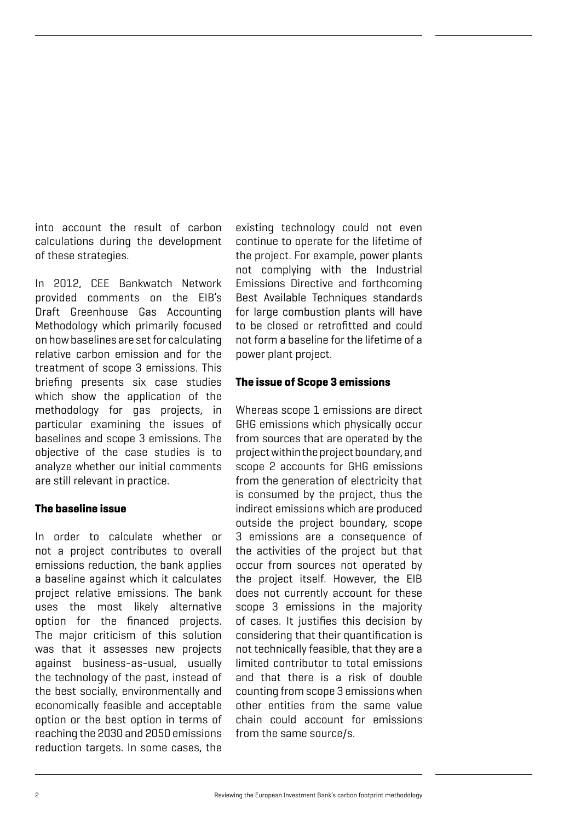into account the result of carbon calculations during the development of these strategies.

In 2012, CEE Bankwatch Network provided comments on the EIB's Draft Greenhouse Gas Accounting Methodology which primarily focused on how baselines are set for calculating relative carbon emission and for the treatment of scope 3 emissions. This briefing presents six case studies which show the application of the methodology for gas projects, in particular examining the issues of baselines and scope 3 emissions. The objective of the case studies is to analyze whether our initial comments are still relevant in practice.

### **The baseline issue**

In order to calculate whether or not a project contributes to overall emissions reduction, the bank applies a baseline against which it calculates project relative emissions. The bank uses the most likely alternative option for the financed projects. The major criticism of this solution was that it assesses new projects against business-as-usual, usually the technology of the past, instead of the best socially, environmentally and economically feasible and acceptable option or the best option in terms of reaching the 2030 and 2050 emissions reduction targets. In some cases, the

existing technology could not even continue to operate for the lifetime of the project. For example, power plants not complying with the Industrial Emissions Directive and forthcoming Best Available Techniques standards for large combustion plants will have to be closed or retrofitted and could not form a baseline for the lifetime of a power plant project.

### **The issue of Scope 3 emissions**

Whereas scope 1 emissions are direct GHG emissions which physically occur from sources that are operated by the project within the project boundary, and scope 2 accounts for GHG emissions from the generation of electricity that is consumed by the project, thus the indirect emissions which are produced outside the project boundary, scope 3 emissions are a consequence of the activities of the project but that occur from sources not operated by the project itself. However, the EIB does not currently account for these scope 3 emissions in the majority of cases. It justifies this decision by considering that their quantification is not technically feasible, that they are a limited contributor to total emissions and that there is a risk of double counting from scope 3 emissions when other entities from the same value chain could account for emissions from the same source/s.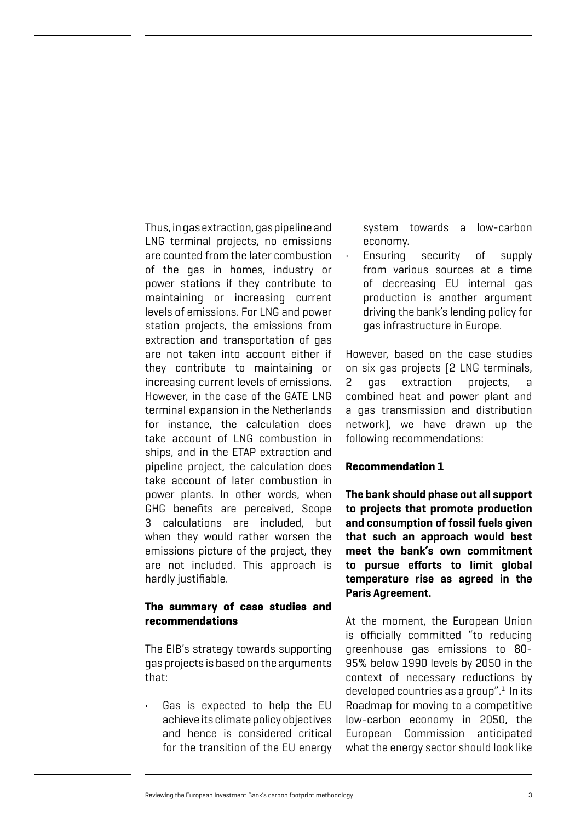Thus, in gas extraction, gas pipeline and LNG terminal projects, no emissions are counted from the later combustion of the gas in homes, industry or power stations if they contribute to maintaining or increasing current levels of emissions. For LNG and power station projects, the emissions from extraction and transportation of gas are not taken into account either if they contribute to maintaining or increasing current levels of emissions. However, in the case of the GATE LNG terminal expansion in the Netherlands for instance, the calculation does take account of LNG combustion in ships, and in the ETAP extraction and pipeline project, the calculation does take account of later combustion in power plants. In other words, when GHG benefits are perceived, Scope 3 calculations are included, but when they would rather worsen the emissions picture of the project, they are not included. This approach is hardly justifiable.

### **The summary of case studies and recommendations**

The EIB's strategy towards supporting gas projects is based on the arguments that:

Gas is expected to help the EU achieve its climate policy objectives and hence is considered critical for the transition of the EU energy system towards a low-carbon economy.

• Ensuring security of supply from various sources at a time of decreasing EU internal gas production is another argument driving the bank's lending policy for gas infrastructure in Europe.

However, based on the case studies on six gas projects (2 LNG terminals, 2 gas extraction projects, a combined heat and power plant and a gas transmission and distribution network), we have drawn up the following recommendations:

### **Recommendation 1**

**The bank should phase out all support to projects that promote production and consumption of fossil fuels given that such an approach would best meet the bank's own commitment to pursue efforts to limit global temperature rise as agreed in the Paris Agreement.** 

At the moment, the European Union is officially committed "to reducing greenhouse gas emissions to 80- 95% below 1990 levels by 2050 in the context of necessary reductions by developed countries as a group". $1$  In its Roadmap for moving to a competitive low-carbon economy in 2050, the European Commission anticipated what the energy sector should look like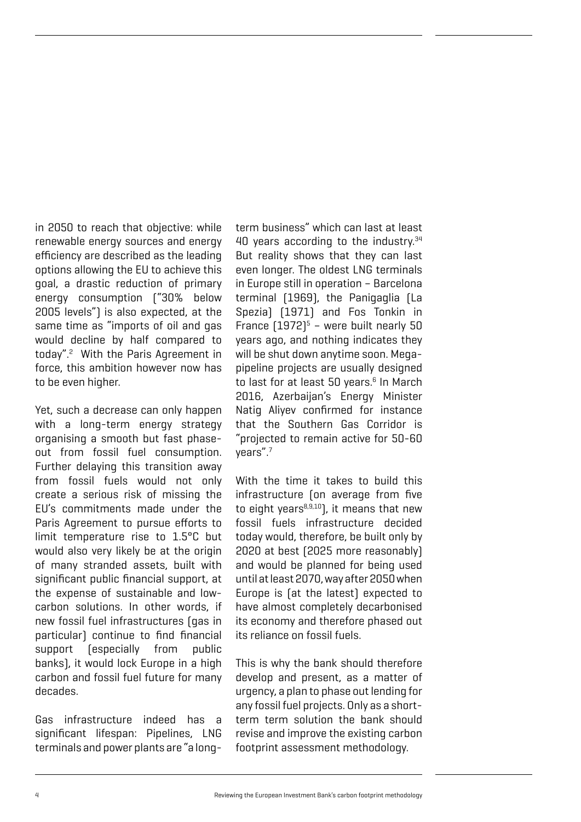in 2050 to reach that objective: while renewable energy sources and energy efficiency are described as the leading options allowing the EU to achieve this goal, a drastic reduction of primary energy consumption ("30% below 2005 levels") is also expected, at the same time as "imports of oil and gas would decline by half compared to today".<sup>2</sup> With the Paris Agreement in force, this ambition however now has to be even higher.

Yet, such a decrease can only happen with a long-term energy strategy organising a smooth but fast phaseout from fossil fuel consumption. Further delaying this transition away from fossil fuels would not only create a serious risk of missing the EU's commitments made under the Paris Agreement to pursue efforts to limit temperature rise to 1.5°C but would also very likely be at the origin of many stranded assets, built with significant public financial support, at the expense of sustainable and lowcarbon solutions. In other words, if new fossil fuel infrastructures (gas in particular) continue to find financial support (especially from public banks), it would lock Europe in a high carbon and fossil fuel future for many decades.

Gas infrastructure indeed has a significant lifespan: Pipelines, LNG terminals and power plants are "a longterm business" which can last at least 40 years according to the industry.<sup>34</sup> But reality shows that they can last even longer. The oldest LNG terminals in Europe still in operation – Barcelona terminal (1969), the Panigaglia (La Spezia) (1971) and Fos Tonkin in France  $[1972]$ <sup>5</sup> - were built nearly 50 years ago, and nothing indicates they will be shut down anytime soon. Megapipeline projects are usually designed to last for at least 50 years.<sup>6</sup> In March 2016, Azerbaijan's Energy Minister Natig Aliyev confirmed for instance that the Southern Gas Corridor is "projected to remain active for 50-60 years".7

With the time it takes to build this infrastructure (on average from five to eight years $8,9,10$ , it means that new fossil fuels infrastructure decided today would, therefore, be built only by 2020 at best (2025 more reasonably) and would be planned for being used until at least 2070, way after 2050 when Europe is (at the latest) expected to have almost completely decarbonised its economy and therefore phased out its reliance on fossil fuels.

This is why the bank should therefore develop and present, as a matter of urgency, a plan to phase out lending for any fossil fuel projects. Only as a shortterm term solution the bank should revise and improve the existing carbon footprint assessment methodology.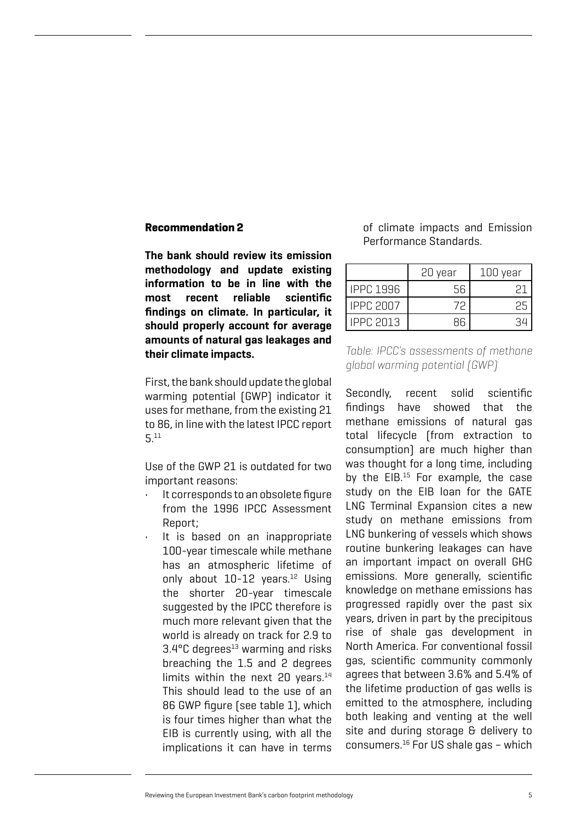#### **Recommendation 2**

**The bank should review its emission methodology and update existing information to be in line with the most recent reliable scientific findings on climate. In particular, it should properly account for average amounts of natural gas leakages and their climate impacts.** 

First, the bank should update the global warming potential (GWP) indicator it uses for methane, from the existing 21 to 86, in line with the latest IPCC report 5.11

Use of the GWP 21 is outdated for two important reasons:

- It corresponds to an obsolete figure from the 1996 IPCC Assessment Report;
- It is based on an inappropriate 100-year timescale while methane has an atmospheric lifetime of only about  $10-12$  years.<sup>12</sup> Using the shorter 20-year timescale suggested by the IPCC therefore is much more relevant given that the world is already on track for 2.9 to  $3.4$ °C degrees<sup>13</sup> warming and risks breaching the 1.5 and 2 degrees limits within the next 20 years. $14$ This should lead to the use of an 86 GWP figure (see table 1), which is four times higher than what the EIB is currently using, with all the implications it can have in terms

of climate impacts and Emission Performance Standards.

|                  | 20 year | 100 year |
|------------------|---------|----------|
| <b>IPPC 1996</b> |         |          |
| <b>IPPC 2007</b> |         |          |
| IPPC 2013        |         |          |

*Table: IPCC's assessments of methane global warming potential (GWP)*

Secondly, recent solid scientific findings have showed that the methane emissions of natural gas total lifecycle (from extraction to consumption) are much higher than was thought for a long time, including by the  $EIB$ .<sup>15</sup> For example, the case study on the EIB loan for the GATE LNG Terminal Expansion cites a new study on methane emissions from LNG bunkering of vessels which shows routine bunkering leakages can have an important impact on overall GHG emissions. More generally, scientific knowledge on methane emissions has progressed rapidly over the past six years, driven in part by the precipitous rise of shale gas development in North America. For conventional fossil gas, scientific community commonly agrees that between 3.6% and 5.4% of the lifetime production of gas wells is emitted to the atmosphere, including both leaking and venting at the well site and during storage & delivery to consumers.16 For US shale gas – which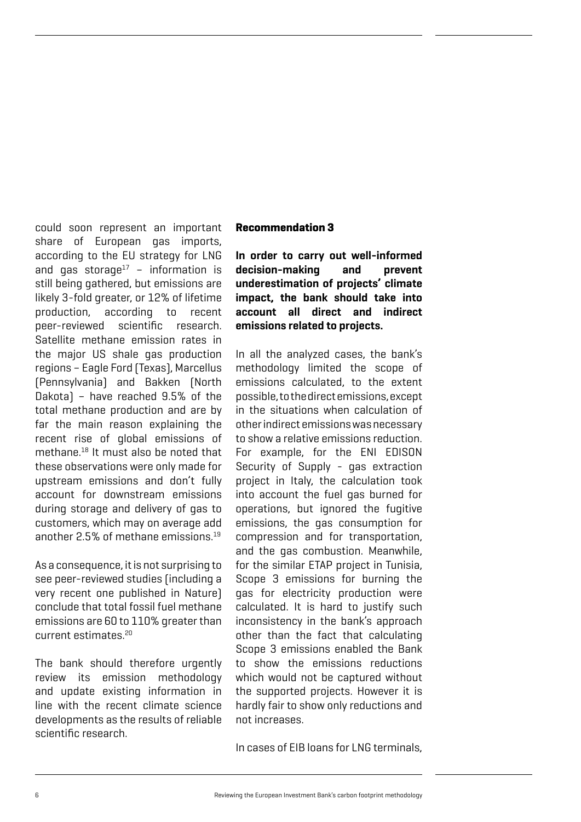could soon represent an important share of European gas imports, according to the EU strategy for LNG and gas storage<sup>17</sup> - information is still being gathered, but emissions are likely 3-fold greater, or 12% of lifetime production, according to recent peer-reviewed scientific research. Satellite methane emission rates in the major US shale gas production regions – Eagle Ford (Texas), Marcellus (Pennsylvania) and Bakken (North Dakota) – have reached 9.5% of the total methane production and are by far the main reason explaining the recent rise of global emissions of methane.18 It must also be noted that these observations were only made for upstream emissions and don't fully account for downstream emissions during storage and delivery of gas to customers, which may on average add another 2.5% of methane emissions.19

As a consequence, it is not surprising to see peer-reviewed studies (including a very recent one published in Nature) conclude that total fossil fuel methane emissions are 60 to 110% greater than current estimates.20

The bank should therefore urgently review its emission methodology and update existing information in line with the recent climate science developments as the results of reliable scientific research.

### **Recommendation 3**

**In order to carry out well-informed decision-making and prevent underestimation of projects' climate impact, the bank should take into account all direct and indirect emissions related to projects.** 

In all the analyzed cases, the bank's methodology limited the scope of emissions calculated, to the extent possible, to the direct emissions, except in the situations when calculation of other indirect emissions was necessary to show a relative emissions reduction. For example, for the ENI EDISON Security of Supply - gas extraction project in Italy, the calculation took into account the fuel gas burned for operations, but ignored the fugitive emissions, the gas consumption for compression and for transportation, and the gas combustion. Meanwhile, for the similar ETAP project in Tunisia, Scope 3 emissions for burning the gas for electricity production were calculated. It is hard to justify such inconsistency in the bank's approach other than the fact that calculating Scope 3 emissions enabled the Bank to show the emissions reductions which would not be captured without the supported projects. However it is hardly fair to show only reductions and not increases.

In cases of EIB loans for LNG terminals,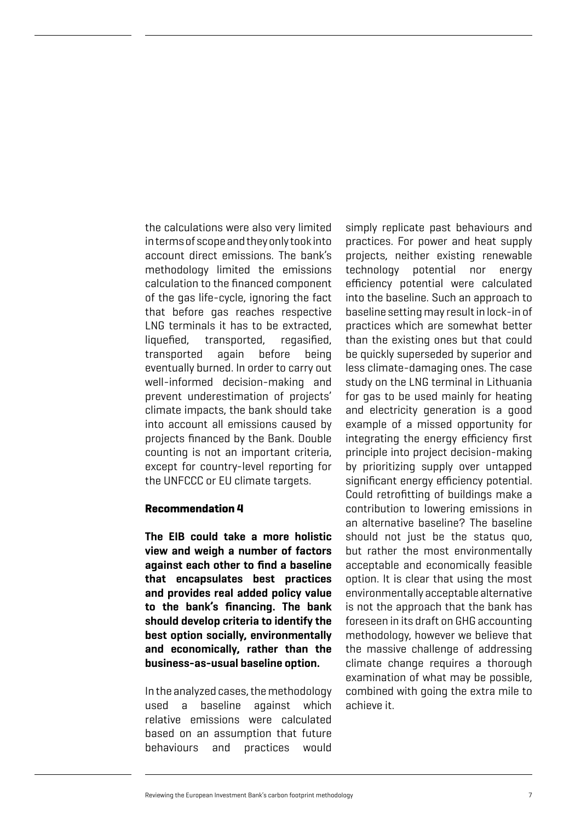the calculations were also very limited in terms of scope and they only took into account direct emissions. The bank's methodology limited the emissions calculation to the financed component of the gas life-cycle, ignoring the fact that before gas reaches respective LNG terminals it has to be extracted, liquefied, transported, regasified, transported again before being eventually burned. In order to carry out well-informed decision-making and prevent underestimation of projects' climate impacts, the bank should take into account all emissions caused by projects financed by the Bank. Double counting is not an important criteria, except for country-level reporting for the UNFCCC or EU climate targets.

### **Recommendation 4**

**The EIB could take a more holistic view and weigh a number of factors against each other to find a baseline that encapsulates best practices and provides real added policy value to the bank's financing. The bank should develop criteria to identify the best option socially, environmentally and economically, rather than the business-as-usual baseline option.**

In the analyzed cases, the methodology used a baseline against which relative emissions were calculated based on an assumption that future behaviours and practices would

simply replicate past behaviours and practices. For power and heat supply projects, neither existing renewable technology potential nor energy efficiency potential were calculated into the baseline. Such an approach to baseline setting may result in lock-in of practices which are somewhat better than the existing ones but that could be quickly superseded by superior and less climate-damaging ones. The case study on the LNG terminal in Lithuania for gas to be used mainly for heating and electricity generation is a good example of a missed opportunity for integrating the energy efficiency first principle into project decision-making by prioritizing supply over untapped significant energy efficiency potential. Could retrofitting of buildings make a contribution to lowering emissions in an alternative baseline? The baseline should not just be the status quo, but rather the most environmentally acceptable and economically feasible option. It is clear that using the most environmentally acceptable alternative is not the approach that the bank has foreseen in its draft on GHG accounting methodology, however we believe that the massive challenge of addressing climate change requires a thorough examination of what may be possible, combined with going the extra mile to achieve it.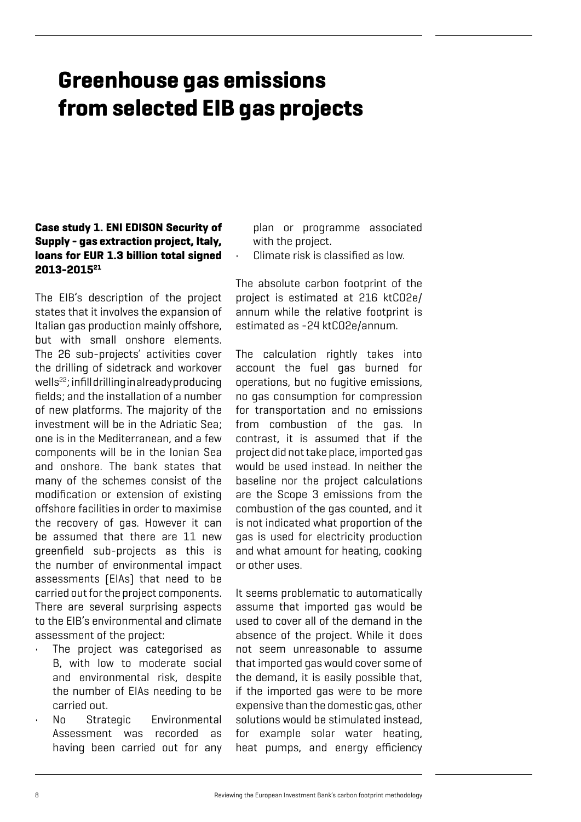# **Greenhouse gas emissions from selected EIB gas projects**

# **Case study 1. ENI EDISON Security of Supply - gas extraction project, Italy, loans for EUR 1.3 billion total signed 2013-201521**

The EIB's description of the project states that it involves the expansion of Italian gas production mainly offshore, but with small onshore elements. The 26 sub-projects' activities cover the drilling of sidetrack and workover wells<sup>22</sup>; infill drilling in already producing fields; and the installation of a number of new platforms. The majority of the investment will be in the Adriatic Sea; one is in the Mediterranean, and a few components will be in the Ionian Sea and onshore. The bank states that many of the schemes consist of the modification or extension of existing offshore facilities in order to maximise the recovery of gas. However it can be assumed that there are 11 new greenfield sub-projects as this is the number of environmental impact assessments (EIAs) that need to be carried out for the project components. There are several surprising aspects to the EIB's environmental and climate assessment of the project:

- The project was categorised as B, with low to moderate social and environmental risk, despite the number of EIAs needing to be carried out.
- No Strategic Environmental Assessment was recorded as having been carried out for any

plan or programme associated with the project.

Climate risk is classified as low.

The absolute carbon footprint of the project is estimated at 216 ktCO2e/ annum while the relative footprint is estimated as -24 ktCO2e/annum.

The calculation rightly takes into account the fuel gas burned for operations, but no fugitive emissions, no gas consumption for compression for transportation and no emissions from combustion of the gas. In contrast, it is assumed that if the project did not take place, imported gas would be used instead. In neither the baseline nor the project calculations are the Scope 3 emissions from the combustion of the gas counted, and it is not indicated what proportion of the gas is used for electricity production and what amount for heating, cooking or other uses.

It seems problematic to automatically assume that imported gas would be used to cover all of the demand in the absence of the project. While it does not seem unreasonable to assume that imported gas would cover some of the demand, it is easily possible that, if the imported gas were to be more expensive than the domestic gas, other solutions would be stimulated instead, for example solar water heating, heat pumps, and energy efficiency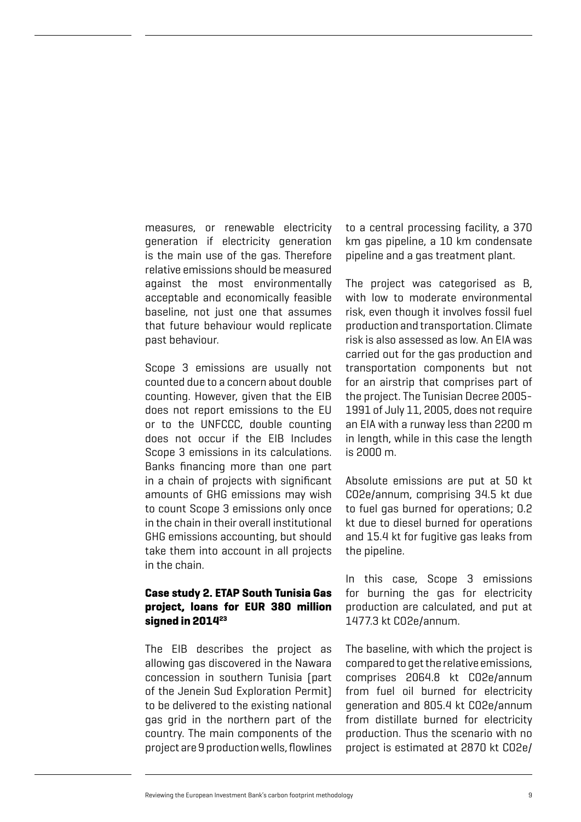measures, or renewable electricity generation if electricity generation is the main use of the gas. Therefore relative emissions should be measured against the most environmentally acceptable and economically feasible baseline, not just one that assumes that future behaviour would replicate past behaviour.

Scope 3 emissions are usually not counted due to a concern about double counting. However, given that the EIB does not report emissions to the EU or to the UNFCCC, double counting does not occur if the EIB Includes Scope 3 emissions in its calculations. Banks financing more than one part in a chain of projects with significant amounts of GHG emissions may wish to count Scope 3 emissions only once in the chain in their overall institutional GHG emissions accounting, but should take them into account in all projects in the chain.

### **Case study 2. ETAP South Tunisia Gas project, loans for EUR 380 million signed in 201423**

The EIB describes the project as allowing gas discovered in the Nawara concession in southern Tunisia (part of the Jenein Sud Exploration Permit) to be delivered to the existing national gas grid in the northern part of the country. The main components of the project are 9 production wells, flowlines to a central processing facility, a 370 km gas pipeline, a 10 km condensate pipeline and a gas treatment plant.

The project was categorised as B, with low to moderate environmental risk, even though it involves fossil fuel production and transportation. Climate risk is also assessed as low. An EIA was carried out for the gas production and transportation components but not for an airstrip that comprises part of the project. The Tunisian Decree 2005- 1991 of July 11, 2005, does not require an EIA with a runway less than 2200 m in length, while in this case the length is 2000 m.

Absolute emissions are put at 50 kt CO2e/annum, comprising 34.5 kt due to fuel gas burned for operations; 0.2 kt due to diesel burned for operations and 15.4 kt for fugitive gas leaks from the pipeline.

In this case, Scope 3 emissions for burning the gas for electricity production are calculated, and put at 1477.3 kt CO2e/annum.

The baseline, with which the project is compared to get the relative emissions, comprises 2064.8 kt CO2e/annum from fuel oil burned for electricity generation and 805.4 kt CO2e/annum from distillate burned for electricity production. Thus the scenario with no project is estimated at 2870 kt CO2e/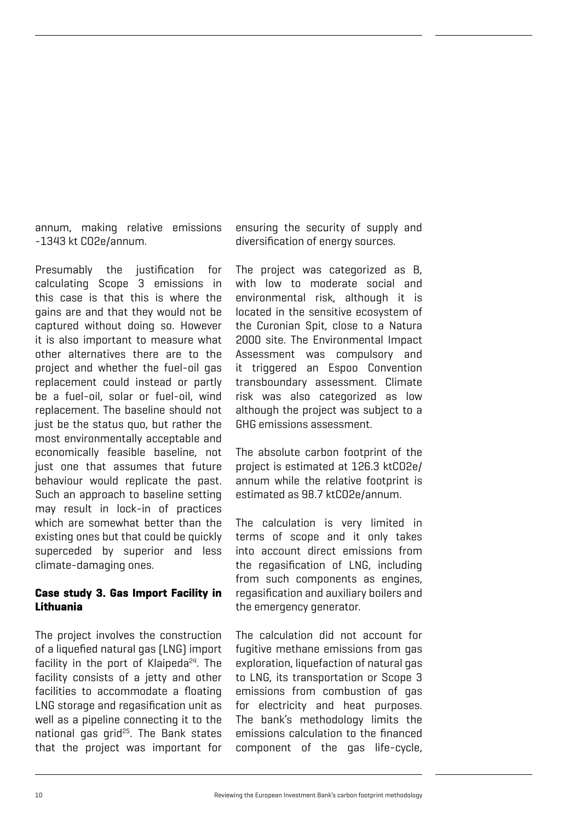annum, making relative emissions -1343 kt CO2e/annum.

Presumably the justification for calculating Scope 3 emissions in this case is that this is where the gains are and that they would not be captured without doing so. However it is also important to measure what other alternatives there are to the project and whether the fuel-oil gas replacement could instead or partly be a fuel-oil, solar or fuel-oil, wind replacement. The baseline should not just be the status quo, but rather the most environmentally acceptable and economically feasible baseline, not just one that assumes that future behaviour would replicate the past. Such an approach to baseline setting may result in lock-in of practices which are somewhat better than the existing ones but that could be quickly superceded by superior and less climate-damaging ones.

### **Case study 3. Gas Import Facility in Lithuania**

The project involves the construction of a liquefied natural gas (LNG) import facility in the port of Klaipeda $24$ . The facility consists of a jetty and other facilities to accommodate a floating LNG storage and regasification unit as well as a pipeline connecting it to the national gas grid25. The Bank states that the project was important for

ensuring the security of supply and diversification of energy sources.

The project was categorized as B, with low to moderate social and environmental risk, although it is located in the sensitive ecosystem of the Curonian Spit, close to a Natura 2000 site. The Environmental Impact Assessment was compulsory and it triggered an Espoo Convention transboundary assessment. Climate risk was also categorized as low although the project was subject to a GHG emissions assessment.

The absolute carbon footprint of the project is estimated at 126.3 ktCO2e/ annum while the relative footprint is estimated as 98.7 ktCO2e/annum.

The calculation is very limited in terms of scope and it only takes into account direct emissions from the regasification of LNG, including from such components as engines, regasification and auxiliary boilers and the emergency generator.

The calculation did not account for fugitive methane emissions from gas exploration, liquefaction of natural gas to LNG, its transportation or Scope 3 emissions from combustion of gas for electricity and heat purposes. The bank's methodology limits the emissions calculation to the financed component of the gas life-cycle,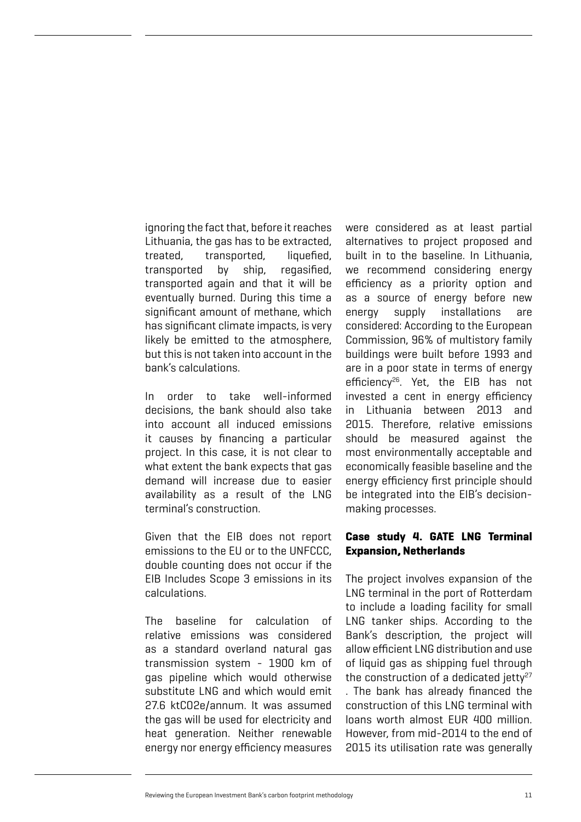ignoring the fact that, before it reaches Lithuania, the gas has to be extracted, treated, transported, liquefied, transported by ship, regasified, transported again and that it will be eventually burned. During this time a significant amount of methane, which has significant climate impacts, is very likely be emitted to the atmosphere, but this is not taken into account in the bank's calculations.

In order to take well-informed decisions, the bank should also take into account all induced emissions it causes by financing a particular project. In this case, it is not clear to what extent the bank expects that gas demand will increase due to easier availability as a result of the LNG terminal's construction.

Given that the EIB does not report emissions to the EU or to the UNFCCC, double counting does not occur if the EIB Includes Scope 3 emissions in its calculations.

The baseline for calculation of relative emissions was considered as a standard overland natural gas transmission system - 1900 km of gas pipeline which would otherwise substitute LNG and which would emit 27.6 ktCO2e/annum. It was assumed the gas will be used for electricity and heat generation. Neither renewable energy nor energy efficiency measures

were considered as at least partial alternatives to project proposed and built in to the baseline. In Lithuania, we recommend considering energy efficiency as a priority option and as a source of energy before new energy supply installations are considered: According to the European Commission, 96% of multistory family buildings were built before 1993 and are in a poor state in terms of energy efficiency<sup>26</sup>. Yet, the EIB has not invested a cent in energy efficiency in Lithuania between 2013 and 2015. Therefore, relative emissions should be measured against the most environmentally acceptable and economically feasible baseline and the energy efficiency first principle should be integrated into the EIB's decisionmaking processes.

### **Case study 4. GATE LNG Terminal Expansion, Netherlands**

The project involves expansion of the LNG terminal in the port of Rotterdam to include a loading facility for small LNG tanker ships. According to the Bank's description, the project will allow efficient LNG distribution and use of liquid gas as shipping fuel through the construction of a dedicated jetty $27$ 

. The bank has already financed the construction of this LNG terminal with loans worth almost EUR 400 million. However, from mid-2014 to the end of 2015 its utilisation rate was generally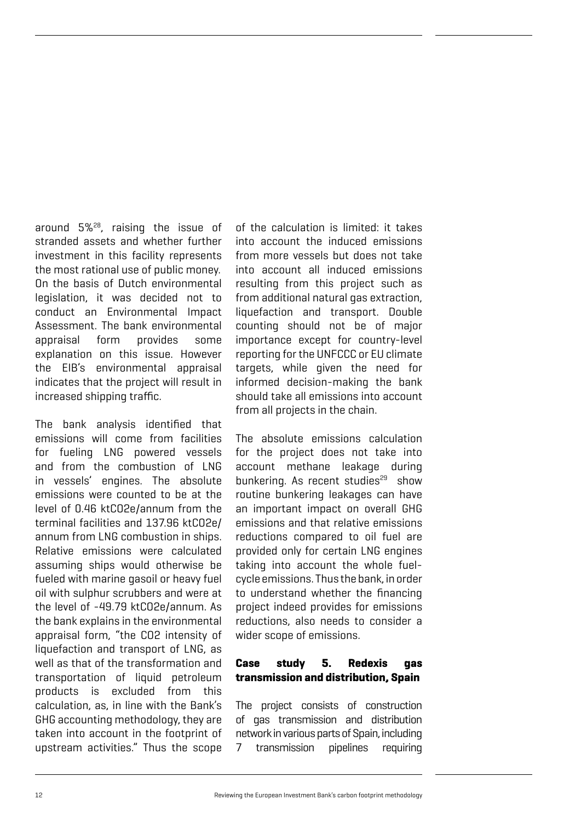around 5%28, raising the issue of stranded assets and whether further investment in this facility represents the most rational use of public money. On the basis of Dutch environmental legislation, it was decided not to conduct an Environmental Impact Assessment. The bank environmental appraisal form provides some explanation on this issue. However the EIB's environmental appraisal indicates that the project will result in increased shipping traffic.

The bank analysis identified that emissions will come from facilities for fueling LNG powered vessels and from the combustion of LNG in vessels' engines. The absolute emissions were counted to be at the level of 0.46 ktCO2e/annum from the terminal facilities and 137.96 ktCO2e/ annum from LNG combustion in ships. Relative emissions were calculated assuming ships would otherwise be fueled with marine gasoil or heavy fuel oil with sulphur scrubbers and were at the level of -49.79 ktCO2e/annum. As the bank explains in the environmental appraisal form, "the CO2 intensity of liquefaction and transport of LNG, as well as that of the transformation and transportation of liquid petroleum products is excluded from this calculation, as, in line with the Bank's GHG accounting methodology, they are taken into account in the footprint of upstream activities." Thus the scope

of the calculation is limited: it takes into account the induced emissions from more vessels but does not take into account all induced emissions resulting from this project such as from additional natural gas extraction, liquefaction and transport. Double counting should not be of major importance except for country-level reporting for the UNFCCC or EU climate targets, while given the need for informed decision-making the bank should take all emissions into account from all projects in the chain.

The absolute emissions calculation for the project does not take into account methane leakage during bunkering. As recent studies<sup>29</sup> show routine bunkering leakages can have an important impact on overall GHG emissions and that relative emissions reductions compared to oil fuel are provided only for certain LNG engines taking into account the whole fuelcycle emissions. Thus the bank, in order to understand whether the financing project indeed provides for emissions reductions, also needs to consider a wider scope of emissions.

# **Case study 5. Redexis gas transmission and distribution, Spain**

The project consists of construction of gas transmission and distribution network in various parts of Spain, including 7 transmission pipelines requiring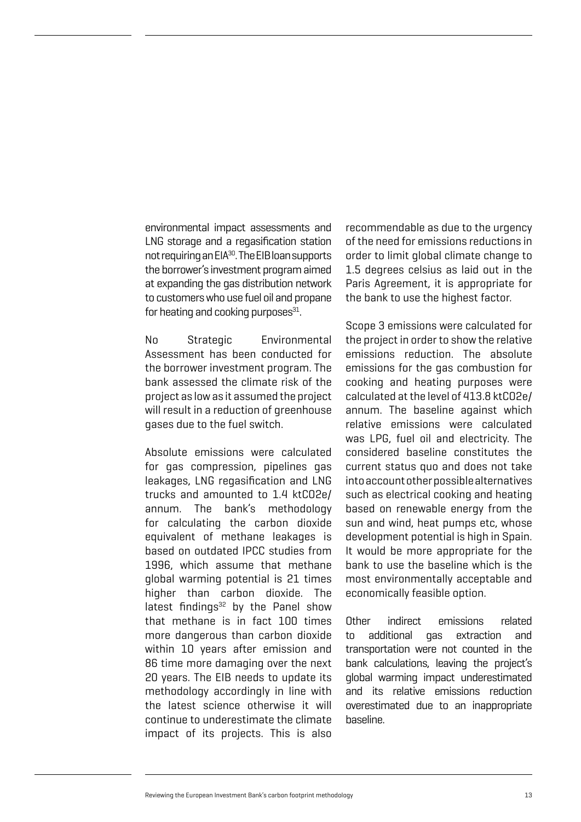environmental impact assessments and LNG storage and a regasification station not requiring an EIA<sup>30</sup>. The EIB loan supports the borrower's investment program aimed at expanding the gas distribution network to customers who use fuel oil and propane for heating and cooking purposes $31$ .

No Strategic Environmental Assessment has been conducted for the borrower investment program. The bank assessed the climate risk of the project as low as it assumed the project will result in a reduction of greenhouse gases due to the fuel switch.

Absolute emissions were calculated for gas compression, pipelines gas leakages, LNG regasification and LNG trucks and amounted to 1.4 ktCO2e/ annum. The bank's methodology for calculating the carbon dioxide equivalent of methane leakages is based on outdated IPCC studies from 1996, which assume that methane global warming potential is 21 times higher than carbon dioxide. The latest findings $32$  by the Panel show that methane is in fact 100 times more dangerous than carbon dioxide within 10 years after emission and 86 time more damaging over the next 20 years. The EIB needs to update its methodology accordingly in line with the latest science otherwise it will continue to underestimate the climate impact of its projects. This is also

recommendable as due to the urgency of the need for emissions reductions in order to limit global climate change to 1.5 degrees celsius as laid out in the Paris Agreement, it is appropriate for the bank to use the highest factor.

Scope 3 emissions were calculated for the project in order to show the relative emissions reduction. The absolute emissions for the gas combustion for cooking and heating purposes were calculated at the level of 413.8 ktCO2e/ annum. The baseline against which relative emissions were calculated was LPG, fuel oil and electricity. The considered baseline constitutes the current status quo and does not take into account other possible alternatives such as electrical cooking and heating based on renewable energy from the sun and wind, heat pumps etc, whose development potential is high in Spain. It would be more appropriate for the bank to use the baseline which is the most environmentally acceptable and economically feasible option.

Other indirect emissions related to additional gas extraction and transportation were not counted in the bank calculations, leaving the project's global warming impact underestimated and its relative emissions reduction overestimated due to an inappropriate baseline.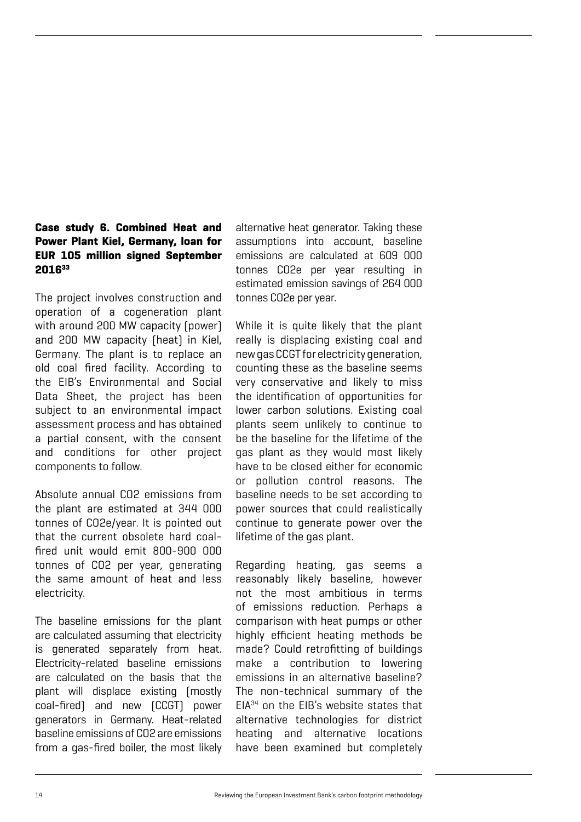# **Case study 6. Combined Heat and Power Plant Kiel, Germany, loan for EUR 105 million signed September 201633**

The project involves construction and operation of a cogeneration plant with around 200 MW capacity (power) and 200 MW capacity (heat) in Kiel, Germany. The plant is to replace an old coal fired facility. According to the EIB's Environmental and Social Data Sheet, the project has been subject to an environmental impact assessment process and has obtained a partial consent, with the consent and conditions for other project components to follow.

Absolute annual CO2 emissions from the plant are estimated at 344 000 tonnes of CO2e/year. It is pointed out that the current obsolete hard coalfired unit would emit 800-900 000 tonnes of CO2 per year, generating the same amount of heat and less electricity.

The baseline emissions for the plant are calculated assuming that electricity is generated separately from heat. Electricity-related baseline emissions are calculated on the basis that the plant will displace existing (mostly coal-fired) and new (CCGT) power generators in Germany. Heat-related baseline emissions of CO2 are emissions from a gas-fired boiler, the most likely

alternative heat generator. Taking these assumptions into account, baseline emissions are calculated at 609 000 tonnes CO2e per year resulting in estimated emission savings of 264 000 tonnes CO2e per year.

While it is quite likely that the plant really is displacing existing coal and new gas CCGT for electricity generation, counting these as the baseline seems very conservative and likely to miss the identification of opportunities for lower carbon solutions. Existing coal plants seem unlikely to continue to be the baseline for the lifetime of the gas plant as they would most likely have to be closed either for economic or pollution control reasons. The baseline needs to be set according to power sources that could realistically continue to generate power over the lifetime of the gas plant.

Regarding heating, gas seems a reasonably likely baseline, however not the most ambitious in terms of emissions reduction. Perhaps a comparison with heat pumps or other highly efficient heating methods be made? Could retrofitting of buildings make a contribution to lowering emissions in an alternative baseline? The non-technical summary of the EIA34 on the EIB's website states that alternative technologies for district heating and alternative locations have been examined but completely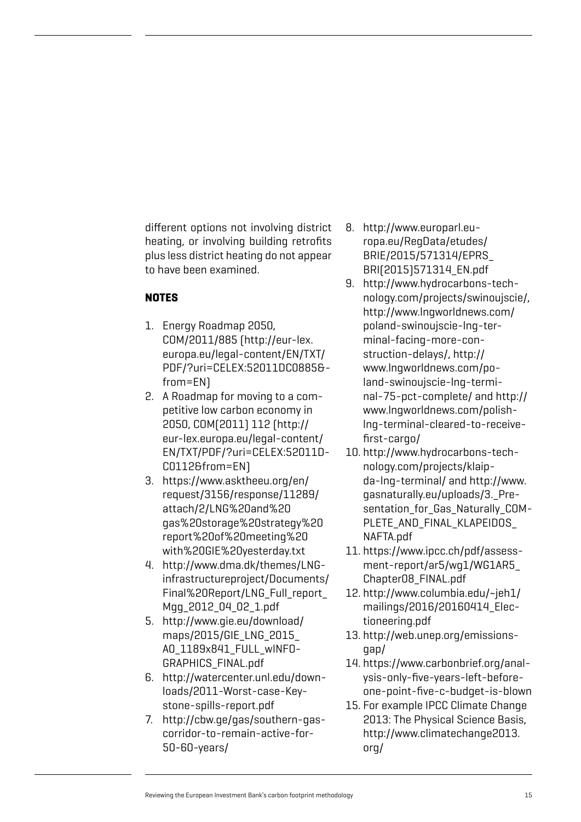different options not involving district heating, or involving building retrofits plus less district heating do not appear to have been examined.

# **NOTES**

- 1. Energy Roadmap 2050, COM/2011/885 (http://eur-lex. europa.eu/legal-content/EN/TXT/ PDF/?uri=CELEX:52011DC0885& from=EN)
- 2. A Roadmap for moving to a competitive low carbon economy in 2050, COM(2011) 112 (http:// eur-lex.europa.eu/legal-content/ EN/TXT/PDF/?uri=CELEX:52011D-C0112&from=EN)
- 3. https://www.asktheeu.org/en/ request/3156/response/11289/ attach/2/LNG%20and%20 gas%20storage%20strategy%20 report%20of%20meeting%20 with%20GIE%20yesterday.txt
- 4. http://www.dma.dk/themes/LNGinfrastructureproject/Documents/ Final%20Report/LNG\_Full\_report Mgg\_2012\_04\_02\_1.pdf
- 5. http://www.gie.eu/download/ maps/2015/GIE\_LNG\_2015\_ A0\_1189x841\_FULL\_wINFO-GRAPHICS\_FINAL.pdf
- 6. http://watercenter.unl.edu/downloads/2011-Worst-case-Keystone-spills-report.pdf
- 7. http://cbw.ge/gas/southern-gascorridor-to-remain-active-for-50-60-years/
- 8. http://www.europarl.europa.eu/RegData/etudes/ BRIE/2015/571314/EPRS\_ BRI(2015)571314\_EN.pdf
- 9. http://www.hydrocarbons-technology.com/projects/swinoujscie/, http://www.lngworldnews.com/ poland-swinoujscie-lng-terminal-facing-more-construction-delays/, http:// www.lngworldnews.com/poland-swinoujscie-lng-terminal-75-pct-complete/ and http:// www.lngworldnews.com/polishlng-terminal-cleared-to-receivefirst-cargo/
- 10. http://www.hydrocarbons-technology.com/projects/klaipda-lng-terminal/ and http://www. gasnaturally.eu/uploads/3.\_Presentation for Gas Naturally COM-PLETE\_AND\_FINAL\_KLAPEIDOS\_ NAFTA.pdf
- 11. https://www.ipcc.ch/pdf/assessment-report/ar5/wg1/WG1AR5\_ Chapter08\_FINAL.pdf
- 12. http://www.columbia.edu/~jeh1/ mailings/2016/20160414\_Electioneering.pdf
- 13. http://web.unep.org/emissionsgap/
- 14. https://www.carbonbrief.org/analysis-only-five-years-left-beforeone-point-five-c-budget-is-blown
- 15. For example IPCC Climate Change 2013: The Physical Science Basis, http://www.climatechange2013. org/